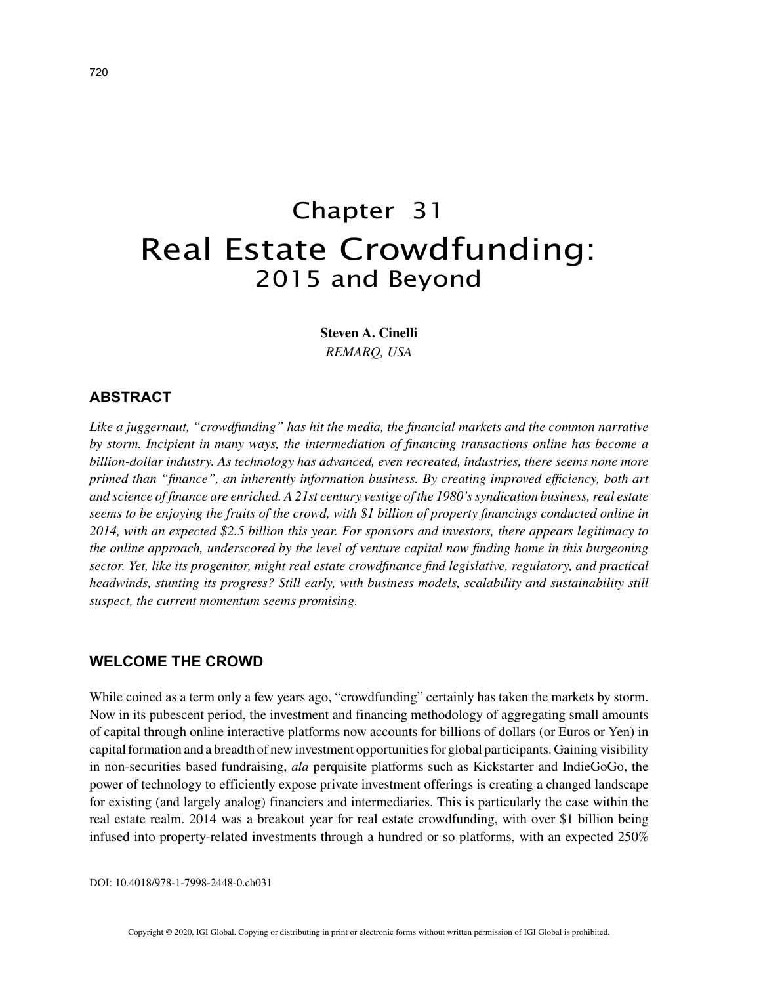# Chapter 31 Real Estate Crowdfunding: 2015 and Beyond

**Steven A. Cinelli** *REMARQ, USA*

## **ABSTRACT**

*Like a juggernaut, "crowdfunding" has hit the media, the financial markets and the common narrative by storm. Incipient in many ways, the intermediation of financing transactions online has become a billion-dollar industry. As technology has advanced, even recreated, industries, there seems none more primed than "finance", an inherently information business. By creating improved efficiency, both art and science of finance are enriched. A 21st century vestige of the 1980's syndication business, real estate seems to be enjoying the fruits of the crowd, with \$1 billion of property financings conducted online in 2014, with an expected \$2.5 billion this year. For sponsors and investors, there appears legitimacy to the online approach, underscored by the level of venture capital now finding home in this burgeoning sector. Yet, like its progenitor, might real estate crowdfinance find legislative, regulatory, and practical headwinds, stunting its progress? Still early, with business models, scalability and sustainability still suspect, the current momentum seems promising.*

## **WELCOME THE CROWD**

While coined as a term only a few years ago, "crowdfunding" certainly has taken the markets by storm. Now in its pubescent period, the investment and financing methodology of aggregating small amounts of capital through online interactive platforms now accounts for billions of dollars (or Euros or Yen) in capital formation and a breadth of new investment opportunities for global participants. Gaining visibility in non-securities based fundraising, *ala* perquisite platforms such as Kickstarter and IndieGoGo, the power of technology to efficiently expose private investment offerings is creating a changed landscape for existing (and largely analog) financiers and intermediaries. This is particularly the case within the real estate realm. 2014 was a breakout year for real estate crowdfunding, with over \$1 billion being infused into property-related investments through a hundred or so platforms, with an expected 250%

DOI: 10.4018/978-1-7998-2448-0.ch031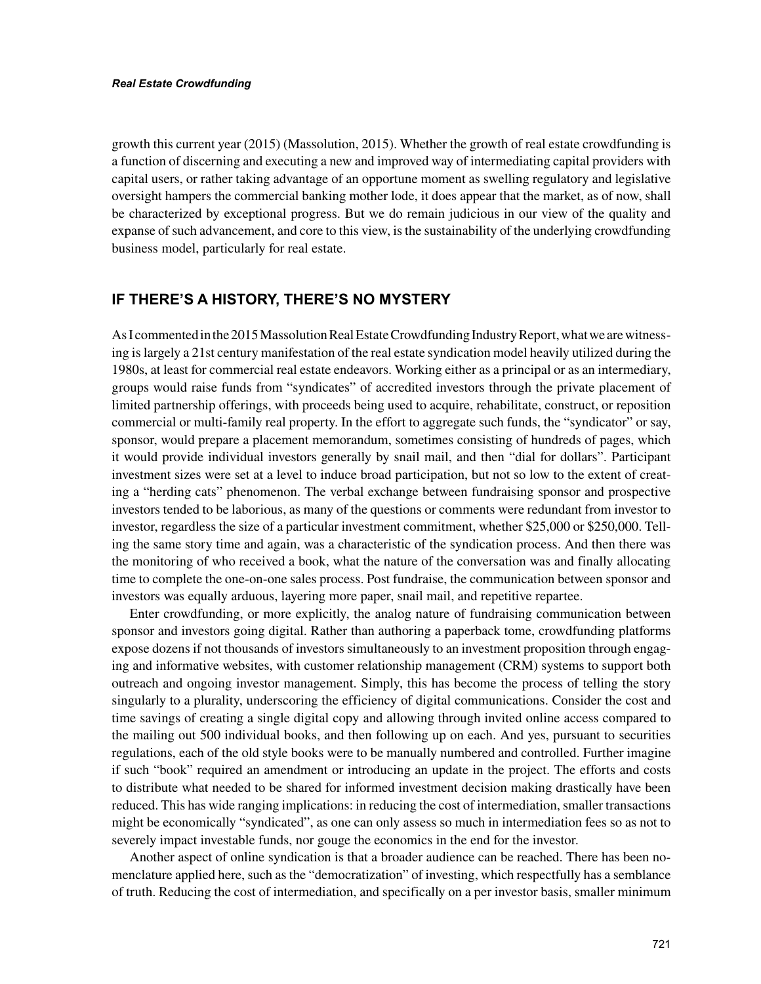growth this current year (2015) (Massolution, 2015). Whether the growth of real estate crowdfunding is a function of discerning and executing a new and improved way of intermediating capital providers with capital users, or rather taking advantage of an opportune moment as swelling regulatory and legislative oversight hampers the commercial banking mother lode, it does appear that the market, as of now, shall be characterized by exceptional progress. But we do remain judicious in our view of the quality and expanse of such advancement, and core to this view, is the sustainability of the underlying crowdfunding business model, particularly for real estate.

## **IF THERE'S A HISTORY, THERE'S NO MYSTERY**

As I commented in the 2015 Massolution Real Estate Crowdfunding Industry Report, what we are witnessing is largely a 21st century manifestation of the real estate syndication model heavily utilized during the 1980s, at least for commercial real estate endeavors. Working either as a principal or as an intermediary, groups would raise funds from "syndicates" of accredited investors through the private placement of limited partnership offerings, with proceeds being used to acquire, rehabilitate, construct, or reposition commercial or multi-family real property. In the effort to aggregate such funds, the "syndicator" or say, sponsor, would prepare a placement memorandum, sometimes consisting of hundreds of pages, which it would provide individual investors generally by snail mail, and then "dial for dollars". Participant investment sizes were set at a level to induce broad participation, but not so low to the extent of creating a "herding cats" phenomenon. The verbal exchange between fundraising sponsor and prospective investors tended to be laborious, as many of the questions or comments were redundant from investor to investor, regardless the size of a particular investment commitment, whether \$25,000 or \$250,000. Telling the same story time and again, was a characteristic of the syndication process. And then there was the monitoring of who received a book, what the nature of the conversation was and finally allocating time to complete the one-on-one sales process. Post fundraise, the communication between sponsor and investors was equally arduous, layering more paper, snail mail, and repetitive repartee.

Enter crowdfunding, or more explicitly, the analog nature of fundraising communication between sponsor and investors going digital. Rather than authoring a paperback tome, crowdfunding platforms expose dozens if not thousands of investors simultaneously to an investment proposition through engaging and informative websites, with customer relationship management (CRM) systems to support both outreach and ongoing investor management. Simply, this has become the process of telling the story singularly to a plurality, underscoring the efficiency of digital communications. Consider the cost and time savings of creating a single digital copy and allowing through invited online access compared to the mailing out 500 individual books, and then following up on each. And yes, pursuant to securities regulations, each of the old style books were to be manually numbered and controlled. Further imagine if such "book" required an amendment or introducing an update in the project. The efforts and costs to distribute what needed to be shared for informed investment decision making drastically have been reduced. This has wide ranging implications: in reducing the cost of intermediation, smaller transactions might be economically "syndicated", as one can only assess so much in intermediation fees so as not to severely impact investable funds, nor gouge the economics in the end for the investor.

Another aspect of online syndication is that a broader audience can be reached. There has been nomenclature applied here, such as the "democratization" of investing, which respectfully has a semblance of truth. Reducing the cost of intermediation, and specifically on a per investor basis, smaller minimum